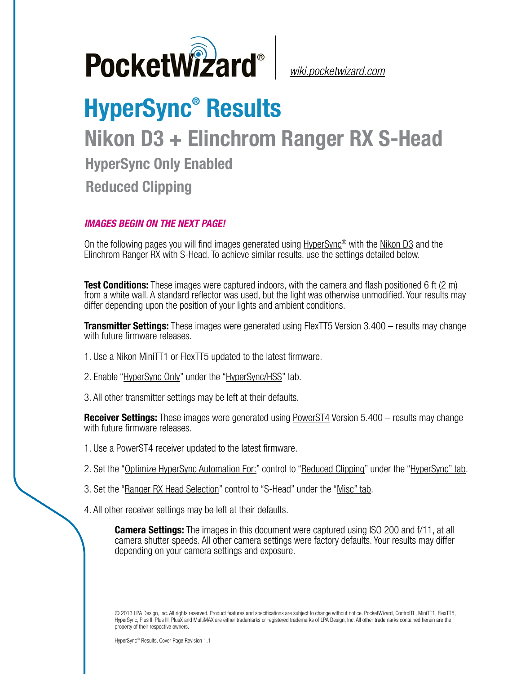

*[wiki.pocketwizard.com](http://wiki.pocketwizard.com/)*

## **HyperSync® Results Nikon D3 + Elinchrom Ranger RX S-Head HyperSync Only Enabled Reduced Clipping**

## *IMAGES BEGIN ON THE NEXT PAGE!*

On the following pages you will find images generated using [HyperSync](http://wiki.pocketwizard.com/index.php?title=Hypersync)® with the [Nikon D3](http://wiki.pocketwizard.com/index.php?title=Nikon_D3) and the Elinchrom Ranger RX with S-Head. To achieve similar results, use the settings detailed below.

**Test Conditions:** These images were captured indoors, with the camera and flash positioned 6 ft (2 m) from a white wall. A standard reflector was used, but the light was otherwise unmodified. Your results may differ depending upon the position of your lights and ambient conditions.

**Transmitter Settings:** These images were generated using FlexTT5 Version 3.400 – results may change with future firmware releases.

- 1. Use a [Nikon MiniTT1 or FlexTT5](http://wiki.pocketwizard.com/index.php?title=MiniTT1_and_FlexTT5) updated to the latest firmware.
- 2. Enable ["HyperSync Only"](http://wiki.pocketwizard.com/index.php?title=Hypersync_hss_tab#HyperSync_Only_.28Disable_HSS.2FFP.29) under the "[HyperSync/HSS"](http://wiki.pocketwizard.com/index.php?title=Hypersync_hss_tab) tab.
- 3. All other transmitter settings may be left at their defaults.

**Receiver Settings:** These images were generated using [PowerST4](http://wiki.pocketwizard.com/index.php%3Ftitle%3DHyperSync/HSS_Tab%23Optimize_HyperSync_Automation_For:) Version 5.400 – results may change with future firmware releases.

- 1. Use a PowerST4 receiver updated to the latest firmware.
- 2. Set the "[Optimize HyperSync Automation For:](http://wiki.pocketwizard.com/index.php?title=HyperSync/HSS_Tab#Optimize_HyperSync_Automation_For:)" control to ["Reduced Clipping"](http://wiki.pocketwizard.com/index.php?title=HyperSync/HSS_Tab#Optimize_HyperSync_Automation_For:) under the ["HyperSync" tab](http://wiki.pocketwizard.com/index.php?title=Hypersync_tab).
- 3. Set the "[Ranger RX Head Selection"](http://wiki.pocketwizard.com/index.php?title=Misc_Tab#Ranger_RX_Head_Selection) control to "S-Head" under the ["Misc" tab](http://wiki.pocketwizard.com/index.php?title=Misc_Tab).
- 4. All other receiver settings may be left at their defaults.

**Camera Settings:** The images in this document were captured using ISO 200 and f/11, at all camera shutter speeds. All other camera settings were factory defaults. Your results may differ depending on your camera settings and exposure.

© 2013 LPA Design, Inc. All rights reserved. Product features and specifications are subject to change without notice. PocketWizard, ControlTL, MiniTT1, FlexTT5, HyperSync, Plus II, Plus III, PlusX and MultiMAX are either trademarks or registered trademarks of LPA Design, Inc. All other trademarks contained herein are the property of their respective owners.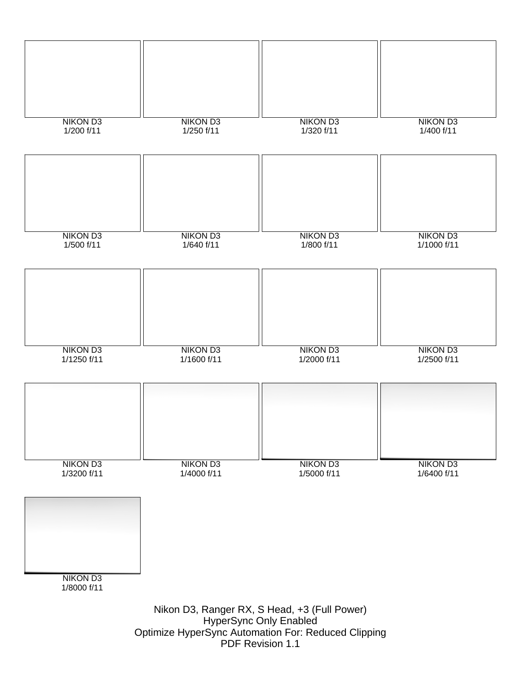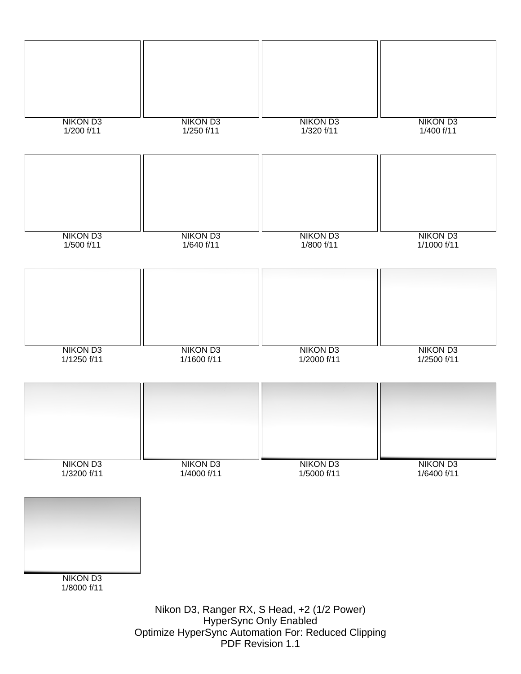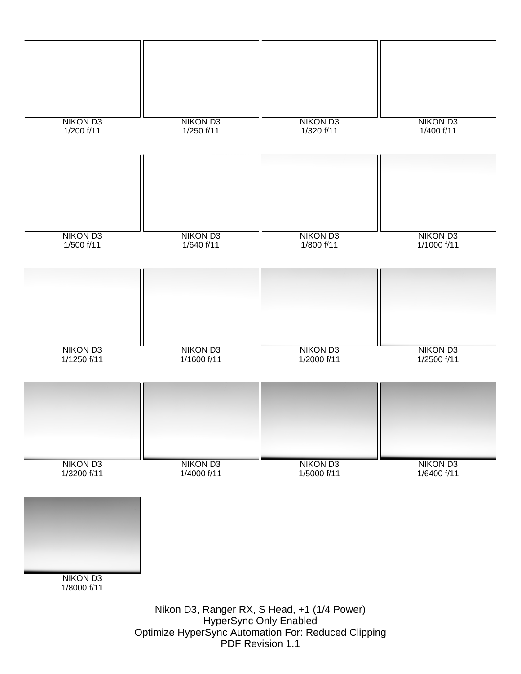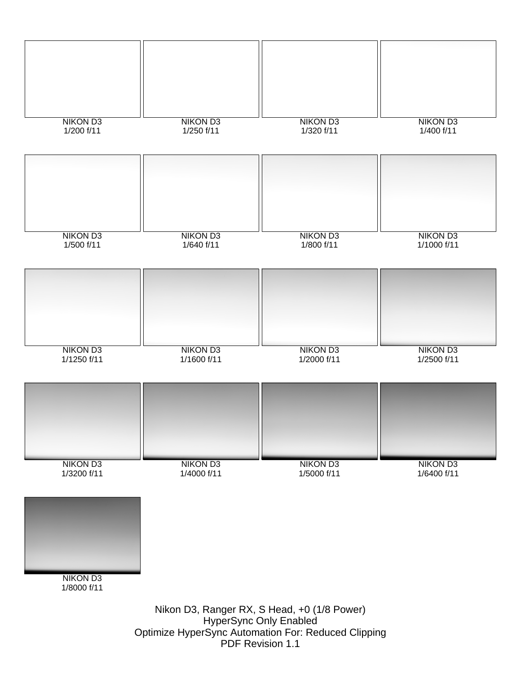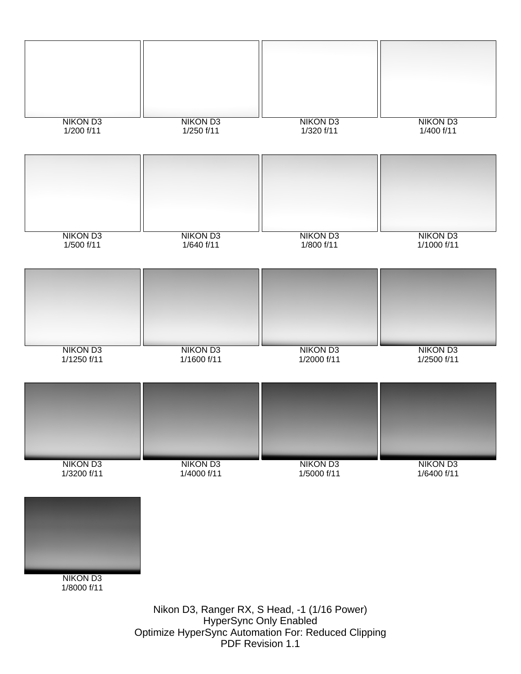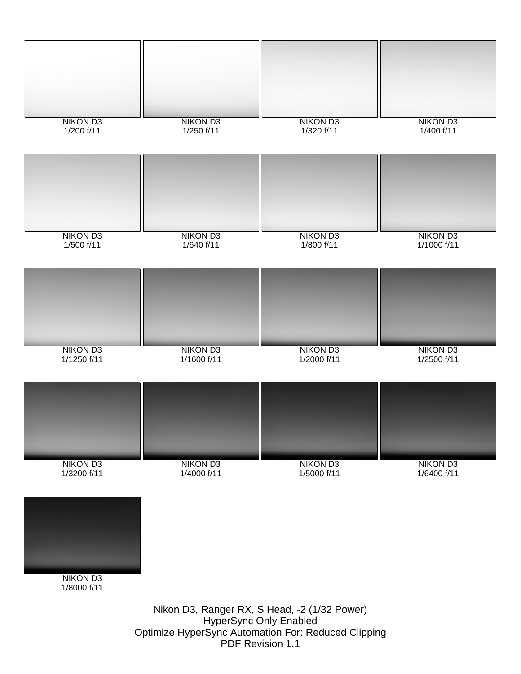